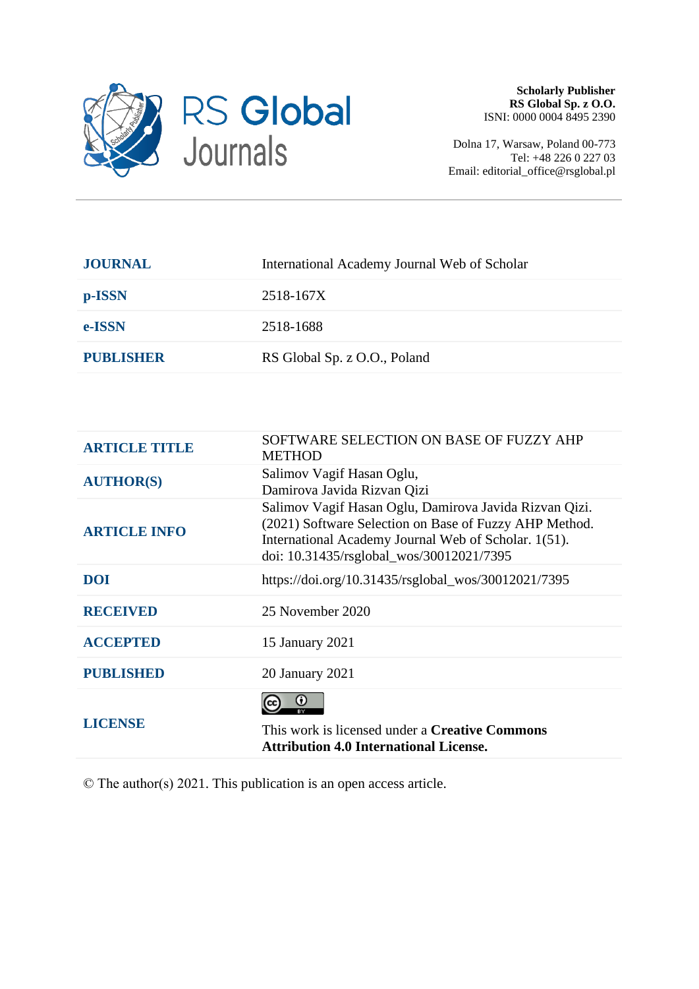

Dolna 17, Warsaw, Poland 00-773 Tel: +48 226 0 227 03 Email: editorial\_office@rsglobal.pl

| <b>JOURNAL</b>   | International Academy Journal Web of Scholar |
|------------------|----------------------------------------------|
| p-ISSN           | 2518-167X                                    |
| e-ISSN           | 2518-1688                                    |
| <b>PUBLISHER</b> | RS Global Sp. z O.O., Poland                 |
|                  |                                              |

| <b>ARTICLE TITLE</b> | SOFTWARE SELECTION ON BASE OF FUZZY AHP<br><b>METHOD</b>                                                                                                                                                             |
|----------------------|----------------------------------------------------------------------------------------------------------------------------------------------------------------------------------------------------------------------|
| <b>AUTHOR(S)</b>     | Salimov Vagif Hasan Oglu,<br>Damirova Javida Rizvan Qizi                                                                                                                                                             |
| <b>ARTICLE INFO</b>  | Salimov Vagif Hasan Oglu, Damirova Javida Rizvan Qizi.<br>(2021) Software Selection on Base of Fuzzy AHP Method.<br>International Academy Journal Web of Scholar. 1(51).<br>doi: 10.31435/rsglobal_wos/30012021/7395 |
| <b>DOI</b>           | https://doi.org/10.31435/rsglobal_wos/30012021/7395                                                                                                                                                                  |
| <b>RECEIVED</b>      | 25 November 2020                                                                                                                                                                                                     |
| <b>ACCEPTED</b>      | 15 January 2021                                                                                                                                                                                                      |
| <b>PUBLISHED</b>     | 20 January 2021                                                                                                                                                                                                      |
| <b>LICENSE</b>       | ω<br>This work is licensed under a <b>Creative Commons</b><br><b>Attribution 4.0 International License.</b>                                                                                                          |

© The author(s) 2021. This publication is an open access article.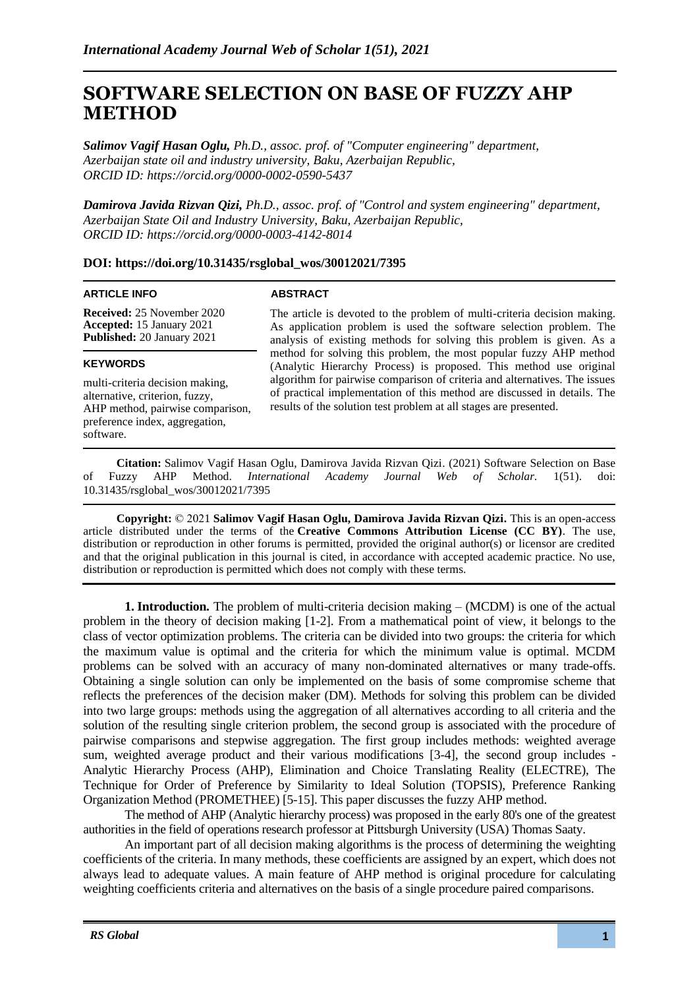# **SOFTWARE SELECTION ON BASE OF FUZZY AHP METHOD**

*Salimov Vagif Hasan Oglu, Ph.D., assoc. prof. of "Computer engineering" department, Azerbaijan state oil and industry university, Baku, Azerbaijan Republic, ORCID ID: https://orcid.org/0000-0002-0590-5437*

*Damirova Javida Rizvan Qizi, Ph.D., assoc. prof. of "Control and system engineering" department, Azerbaijan State Oil and Industry University, Baku, Azerbaijan Republic, ORCID ID: https://orcid.org/0000-0003-4142-8014*

## **DOI: https://doi.org/10.31435/rsglobal\_wos/30012021/7395**

#### **ARTICLE INFO**

#### **ABSTRACT**

**Received:** 25 November 2020 **Accepted:** 15 January 2021 **Published:** 20 January 2021

#### **KEYWORDS**

multi-criteria decision making, alternative, criterion, fuzzy, AHP method, pairwise comparison, preference index, aggregation, software.

The article is devoted to the problem of multi-criteria decision making. As application problem is used the software selection problem. The analysis of existing methods for solving this problem is given. As a method for solving this problem, the most popular fuzzy AHP method (Analytic Hierarchy Process) is proposed. This method use original algorithm for pairwise comparison of criteria and alternatives. The issues of practical implementation of this method are discussed in details. The results of the solution test problem at all stages are presented.

**Citation:** Salimov Vagif Hasan Oglu, Damirova Javida Rizvan Qizi. (2021) Software Selection on Base of Fuzzy AHP Method. *International Academy Journal Web of Scholar.* 1(51). doi: 10.31435/rsglobal\_wos/30012021/7395

**Copyright:** © 2021 **Salimov Vagif Hasan Oglu, Damirova Javida Rizvan Qizi.** This is an open-access article distributed under the terms of the **Creative Commons Attribution License (CC BY)**. The use, distribution or reproduction in other forums is permitted, provided the original author(s) or licensor are credited and that the original publication in this journal is cited, in accordance with accepted academic practice. No use, distribution or reproduction is permitted which does not comply with these terms.

**1. Introduction.** The problem of multi-criteria decision making – (MCDM) is one of the actual problem in the theory of decision making [1-2]. From a mathematical point of view, it belongs to the class of vector optimization problems. The criteria can be divided into two groups: the criteria for which the maximum value is optimal and the criteria for which the minimum value is optimal. MCDM problems can be solved with an accuracy of many non-dominated alternatives or many trade-offs. Obtaining a single solution can only be implemented on the basis of some compromise scheme that reflects the preferences of the decision maker (DM). Methods for solving this problem can be divided into two large groups: methods using the aggregation of all alternatives according to all criteria and the solution of the resulting single criterion problem, the second group is associated with the procedure of pairwise comparisons and stepwise aggregation. The first group includes methods: weighted average sum, weighted average product and their various modifications [3-4], the second group includes - Analytic Hierarchy Process (AHP), Elimination and Choice Translating Reality (ELECTRE), The Technique for Order of Preference by Similarity to Ideal Solution (TOPSIS), Preference Ranking Organization Method (PROMETHEE) [5-15]. This paper discusses the fuzzy AHP method.

The method of AHP (Analytic hierarchy process) was proposed in the early 80's one of the greatest authorities in the field of operations research professor at Pittsburgh University (USA) Thomas Saaty.

An important part of all decision making algorithms is the process of determining the weighting coefficients of the criteria. In many methods, these coefficients are assigned by an expert, which does not always lead to adequate values. A main feature of AHP method is original procedure for calculating weighting coefficients criteria and alternatives on the basis of a single procedure paired comparisons.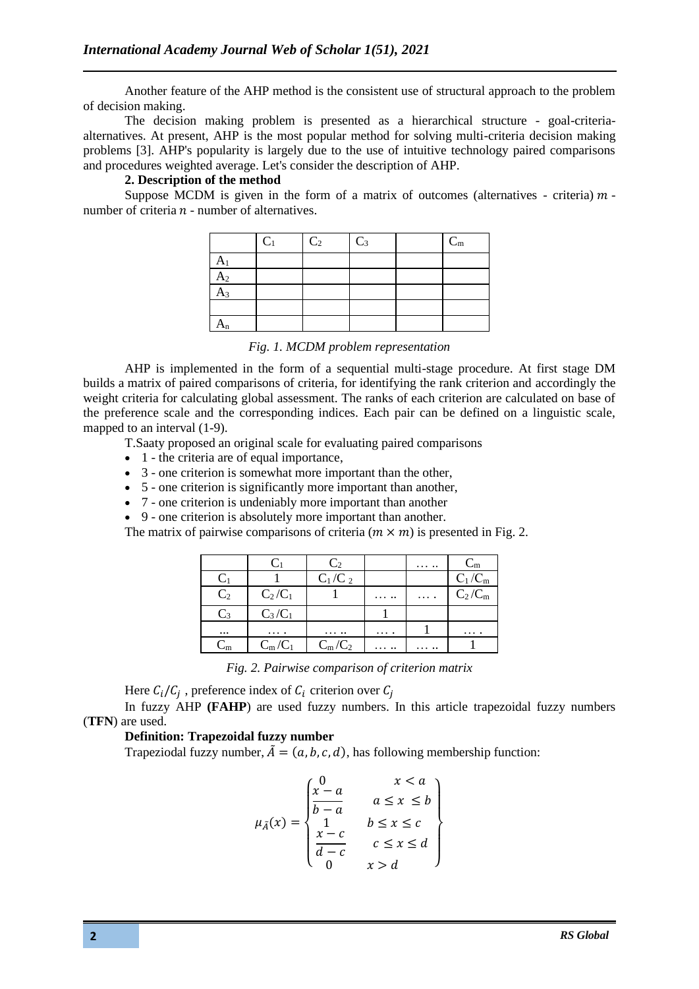Another feature of the AHP method is the consistent use of structural approach to the problem of decision making.

The decision making problem is presented as a hierarchical structure - goal-criteriaalternatives. At present, AHP is the most popular method for solving multi-criteria decision making problems [3]. AHP's popularity is largely due to the use of intuitive technology paired comparisons and procedures weighted average. Let's consider the description of AHP.

## **2. Description of the method**

Suppose MCDM is given in the form of a matrix of outcomes (alternatives - criteria)  $m$  number of criteria  $n$  - number of alternatives.

|                      | $C_1$ | C <sub>2</sub> | $C_3$ | $\mathbf{C}_\text{m}$ |
|----------------------|-------|----------------|-------|-----------------------|
| A <sub>1</sub>       |       |                |       |                       |
| A <sub>2</sub>       |       |                |       |                       |
| $A_3$                |       |                |       |                       |
|                      |       |                |       |                       |
| $\mathbf{r}_{\rm n}$ |       |                |       |                       |

*Fig. 1. MCDM problem representation*

AHP is implemented in the form of a sequential multi-stage procedure. At first stage DM builds a matrix of paired comparisons of criteria, for identifying the rank criterion and accordingly the weight criteria for calculating global assessment. The ranks of each criterion are calculated on base of the preference scale and the corresponding indices. Each pair can be defined on a linguistic scale, mapped to an interval (1-9).

T.Saaty proposed an original scale for evaluating paired comparisons

- 1 the criteria are of equal importance.
- 3 one criterion is somewhat more important than the other,
- 5 one criterion is significantly more important than another,
- 7 one criterion is undeniably more important than another
- 9 one criterion is absolutely more important than another.

The matrix of pairwise comparisons of criteria ( $m \times m$ ) is presented in Fig. 2.

|                |            | C <sub>2</sub> |            | . | $C_m$     |
|----------------|------------|----------------|------------|---|-----------|
| $C_1$          |            | $C_1/C_2$      |            |   | $C_1/C_m$ |
| C <sub>2</sub> | $C_2/C_1$  |                | $\cdots$ . | . | $C_2/C_m$ |
| $C_3$          | $C_3/C_1$  |                |            |   |           |
| $\cdots$       | $\cdots$ . | $\cdots\cdots$ | .          |   | $\cdots$  |
| $C_m$          | $C_m/C_1$  | $C_m/C_2$      | $\cdots$ . | . |           |

*Fig. 2. Pairwise comparison of criterion matrix*

Here  $C_i/C_j$ , preference index of  $C_i$  criterion over  $C_j$ 

In fuzzy AHP **(FAHP**) are used fuzzy numbers. In this article trapezoidal fuzzy numbers (**TFN**) are used.

## **Definition: Trapezoidal fuzzy number**

Trapeziodal fuzzy number,  $\tilde{A} = (a, b, c, d)$ , has following membership function:

$$
\mu_{\tilde{A}}(x) = \begin{cases}\n0 & x < a \\
\frac{x-a}{b-a} & a \leq x \leq b \\
1 & b \leq x \leq c \\
\frac{x-c}{d-c} & c \leq x \leq d \\
0 & x > a\n\end{cases}
$$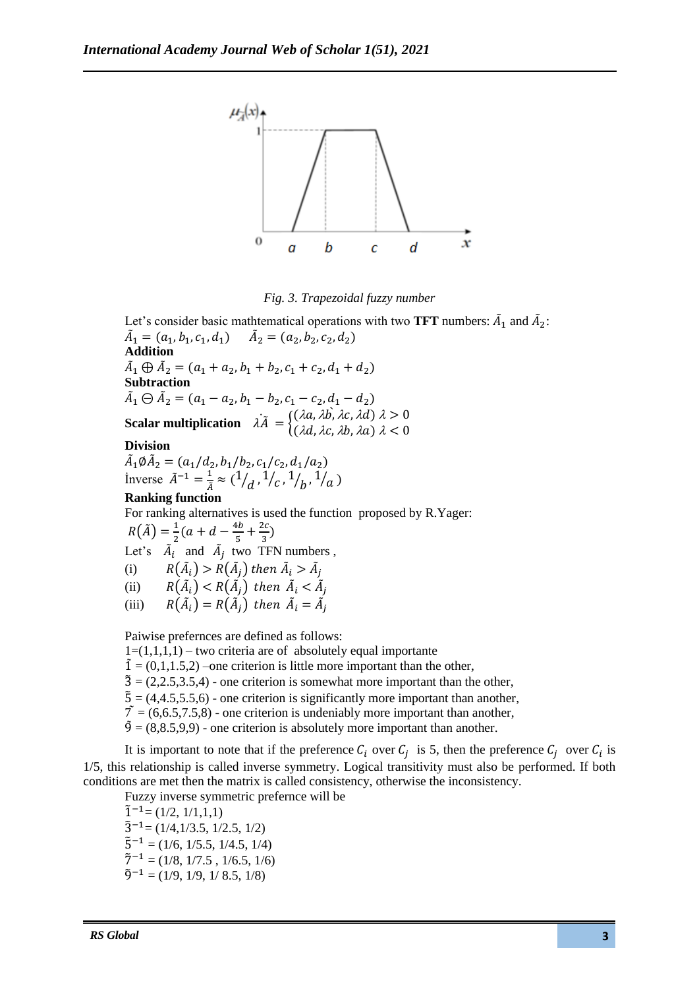



Let's consider basic mathtematical operations with two **TFT** numbers:  $\tilde{A}_1$  and  $\tilde{A}_2$ :  $\tilde{A}_1 = (a_1, b_1, c_1, d_1)$   $\tilde{A}_2 = (a_2, b_2, c_2, d_2)$ **Addition**  $\tilde{A}_1 \oplus \tilde{A}_2 = (a_1 + a_2, b_1 + b_2, c_1 + c_2, d_1 + d_2)$ **Subtraction**   $\tilde{A}_1 \ominus \tilde{A}_2 = (a_1 - a_2, b_1 - b_2, c_1 - c_2, d_1 - d_2)$ **Scalar multiplication**  $\lambda \tilde{A} = \begin{cases} (\lambda a, \lambda b, \lambda c, \lambda d) \lambda > 0 \\ (\lambda d, \lambda b, \lambda c, \lambda d) \lambda > 0 \end{cases}$  $(\lambda d, \lambda c, \lambda b, \lambda a) \lambda < 0$ ̀

# **Division**

 $\tilde{A}_1 \emptyset \tilde{A}_2 = (a_1/d_2, b_1/b_2, c_1/c_2, d_1/a_2)$ Inverse  $\tilde{A}^{-1} = \frac{1}{\tilde{A}}$  $\frac{1}{\tilde{A}} \approx (1$  $/_{d}$ ,  $^{1}/_{c}$ ,  $^{1}$  $/_{b}$ ,  $^{1}/_{a}$ )

# **Ranking function**

For ranking alternatives is used the function proposed by R.Yager:  $R(\tilde{A}) = \frac{1}{2}$  $\frac{1}{2}(a+d-\frac{4b}{5})$  $rac{1}{5} + \frac{2c}{3}$  $\frac{2i}{3}$ Let's  $\tilde{A}_i$  and  $\tilde{A}_j$  two TFN numbers, (i)  $R(\tilde{A}_i) > R(\tilde{A}_j)$  then  $\tilde{A}_i > \tilde{A}_j$ (ii)  $R(\tilde{A}_i) < R(\tilde{A}_j)$  then  $\tilde{A}_i < \tilde{A}_j$ (iii)  $R(\tilde{A}_i) = R(\tilde{A}_j)$  then  $\tilde{A}_i = \tilde{A}_j$ 

Paiwise prefernces are defined as follows:  $1=(1,1,1,1)$  – two criteria are of absolutely equal importante  $\tilde{1} = (0,1,1.5,2)$  –one criterion is little more important than the other,  $\tilde{3} = (2, 2, 5, 3, 5, 4)$  - one criterion is somewhat more important than the other,  $\tilde{5} = (4, 4.5, 5.5, 6)$  - one criterion is significantly more important than another,  $\tilde{7} = (6,6.5,7.5,8)$  - one criterion is undeniably more important than another,  $\tilde{9} = (8, 8.5, 9, 9)$  - one criterion is absolutely more important than another.

It is important to note that if the preference  $C_i$  over  $C_j$  is 5, then the preference  $C_j$  over  $C_i$  is 1/5, this relationship is called inverse symmetry. Logical transitivity must also be performed. If both conditions are met then the matrix is called consistency, otherwise the inconsistency.

Fuzzy inverse symmetric prefernce will be  $\tilde{1}^{-1}$ = (1/2, 1/1,1,1)  $\tilde{3}^{-1}$ = (1/4,1/3.5, 1/2.5, 1/2)  $\tilde{5}^{-1}$  = (1/6, 1/5.5, 1/4.5, 1/4)  $\tilde{7}^{-1} = (1/8, 1/7.5, 1/6.5, 1/6)$  $\tilde{9}^{-1} = (1/9, 1/9, 1/8.5, 1/8)$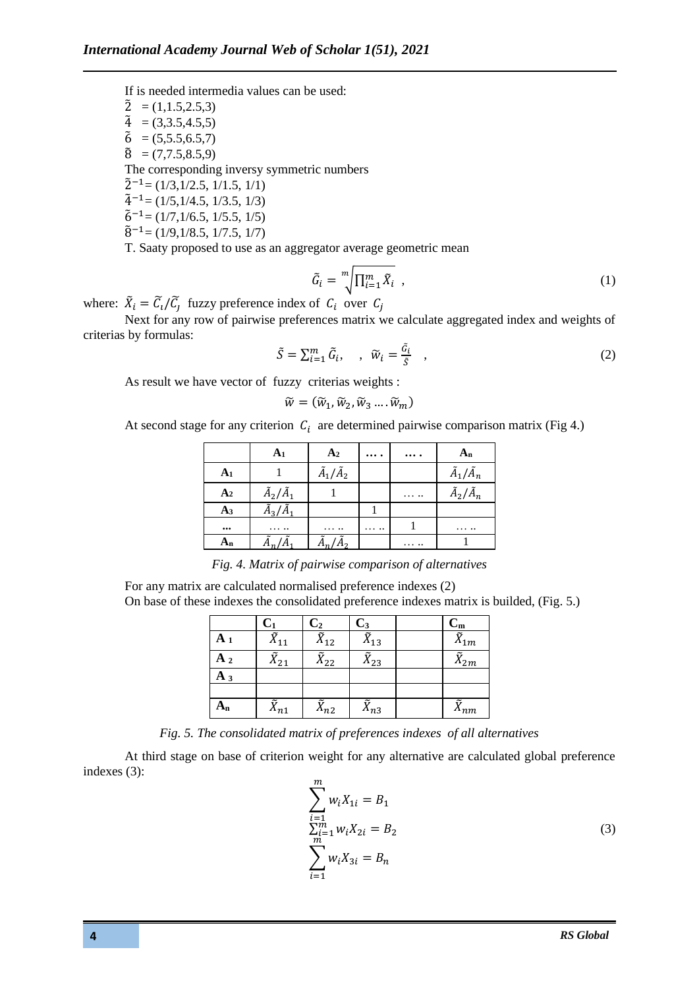If is needed intermedia values can be used:

 $\tilde{2} = (1, 1.5, 2.5, 3)$  $\tilde{4} = (3,3.5,4.5,5)$  $\tilde{6} = (5,5.5,6.5,7)$  $\tilde{8} = (7.7.5.8.5.9)$ The corresponding inversy symmetric numbers  $\tilde{2}^{-1}$ = (1/3,1/2.5, 1/1.5, 1/1)  $\tilde{4}^{-1}$ = (1/5,1/4.5, 1/3.5, 1/3)  $\tilde{6}^{-1}$ = (1/7,1/6.5, 1/5,5, 1/5)  $\tilde{8}^{-1}$ = (1/9,1/8.5, 1/7.5, 1/7)

T. Saaty proposed to use as an aggregator average geometric mean

$$
\tilde{G}_i = \sqrt[m]{\prod_{i=1}^m \tilde{X}_i} \tag{1}
$$

where:  $\tilde{X}_i = \tilde{C}_i / \tilde{C}_j$  fuzzy preference index of  $C_i$  over  $C_j$ 

Next for any row of pairwise preferences matrix we calculate aggregated index and weights of criterias by formulas:

$$
\tilde{S} = \sum_{i=1}^{m} \tilde{G}_i, \quad , \quad \tilde{W}_i = \frac{\tilde{G}_i}{\tilde{S}} \quad , \tag{2}
$$

As result we have vector of fuzzy criterias weights :

$$
\widetilde{w}=(\widetilde{w}_1,\widetilde{w}_2,\widetilde{w}_3\ldots\widetilde{w}_m)
$$

At second stage for any criterion  $C_i$  are determined pairwise comparison matrix (Fig 4.)

|                | A <sub>1</sub>            | A <sub>2</sub>            | $\cdots$             | $\cdots$ | $A_n$                     |
|----------------|---------------------------|---------------------------|----------------------|----------|---------------------------|
| A <sub>1</sub> |                           | $\tilde{A}_1/\tilde{A}_2$ |                      |          | $\tilde{A}_1/\tilde{A}_n$ |
| A <sub>2</sub> | $\tilde{A}_2/\tilde{A}_1$ |                           |                      | $\cdots$ | $\tilde{A}_2/\tilde{A}_n$ |
| A <sub>3</sub> | $\tilde{A}_{3}/\tilde{A}$ |                           |                      |          |                           |
| $\cdots$       | $\cdots\cdots\cdots$      | $\cdots\cdots\cdots$      | $\cdots\cdots\cdots$ |          |                           |
| $A_n$          |                           |                           |                      | .        |                           |

*Fig. 4. Matrix of pairwise comparison of alternatives*

For any matrix are calculated normalised preference indexes (2) On base of these indexes the consolidated preference indexes matrix is builded, (Fig. 5.)

|       | $C_1$                | C <sub>2</sub> | $\mathbf{C}_3$        | $C_{\rm m}$         |
|-------|----------------------|----------------|-----------------------|---------------------|
| $A_1$ | ñ<br>$\Lambda_{11}$  | ũ<br>$A_{12}$  | ũ<br>$\Lambda_{13}$   | ũ<br>$\Lambda_{1m}$ |
| A 2   | ÷.<br>$A_{21}$       | $A_{22}$       | õ<br>$A_{23}$         | $\Lambda_{2m}$      |
| A 3   |                      |                |                       |                     |
|       |                      |                |                       |                     |
| $A_n$ | ÷.<br>$\Lambda_{n1}$ | ũ<br>$x_{n2}$  | $\tilde{\chi}_{n3}^-$ | ũ<br>$A_{nm}$       |

*Fig. 5. The consolidated matrix of preferences indexes of all alternatives*

At third stage on base of criterion weight for any alternative are calculated global preference indexes (3):

$$
\sum_{\substack{i=1 \ n \ge n}}^{m} w_i X_{1i} = B_1
$$
  
\n
$$
\sum_{\substack{i=1 \ n \ge n}}^{m} w_i X_{2i} = B_2
$$
  
\n
$$
\sum_{i=1}^{m} w_i X_{3i} = B_n
$$
 (3)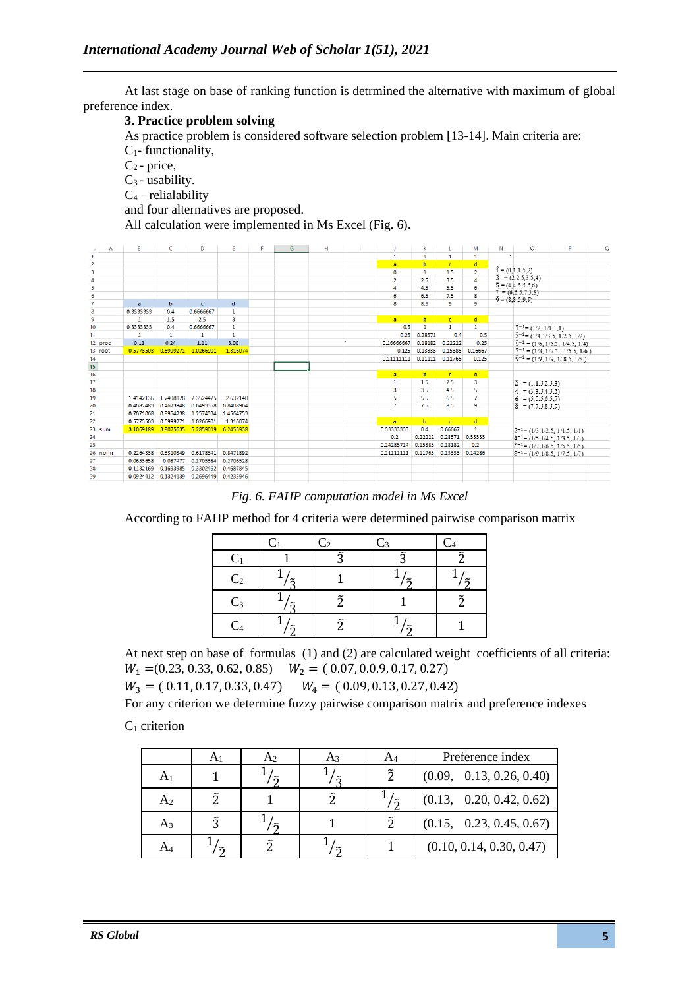At last stage on base of ranking function is detrmined the alternative with maximum of global preference index.

## **3. Practice problem solving**

As practice problem is considered software selection problem [13-14]. Main criteria are:  $C_1$ - functionality,

 $C_2$ - price,  $C_3$  - usability.

 $C_4$  – relialability

and four alternatives are proposed.

All calculation were implemented in Ms Excel (Fig. 6).

| $\mathcal{A}$                                | А       | В              | C                   | D          | E                   | F | G | н |                | κ            | -L           | М              | Ν            | $\circ$                                                                                          | P                                             | $\circ$ |
|----------------------------------------------|---------|----------------|---------------------|------------|---------------------|---|---|---|----------------|--------------|--------------|----------------|--------------|--------------------------------------------------------------------------------------------------|-----------------------------------------------|---------|
| $\mathbf{1}$                                 |         |                |                     |            |                     |   |   |   | 1              | $\mathbf{1}$ | $\mathbf{1}$ | $\mathbf{1}$   | $\mathbf{1}$ |                                                                                                  |                                               |         |
|                                              |         |                |                     |            |                     |   |   |   | $\overline{a}$ | b            | $\mathbf{c}$ | $\mathbf{d}$   |              |                                                                                                  |                                               |         |
| $\begin{array}{c}\n2 \\ 3 \\ 4\n\end{array}$ |         |                |                     |            |                     |   |   |   | 0              | 1            | 1.5          | $\overline{2}$ |              | $\vec{1} = (0,1,1.5,2)$                                                                          |                                               |         |
|                                              |         |                |                     |            |                     |   |   |   | $\overline{2}$ | 2.5          | 3.5          | 4              |              | $3 = (2, 2.5, 3.5, 4)$                                                                           |                                               |         |
| 5                                            |         |                |                     |            |                     |   |   |   | 4              | 4.5          | 5.5          | 6              |              | $\tilde{5} = (4, 4.5, 5.5, 6)$<br>$\tilde{7} = (6, 6.5, 7.5, 8)$<br>$\tilde{9} = (8, 8.5, 9, 9)$ |                                               |         |
| $\frac{6}{7}$                                |         |                |                     |            |                     |   |   |   | 6              | 6.5          | 7.5          | 8              |              |                                                                                                  |                                               |         |
|                                              |         | $\overline{a}$ | b                   | $\epsilon$ | d                   |   |   |   | 8              | 8.5          | 9            | 9              |              |                                                                                                  |                                               |         |
| 8                                            |         | 0.3333333      | 0.4                 | 0.6666667  | 1                   |   |   |   |                |              |              |                |              |                                                                                                  |                                               |         |
| 9                                            |         | 1              | 1.5                 | 25         | 3                   |   |   |   | $\overline{a}$ | b.           | $\mathbf{c}$ | ď              |              |                                                                                                  |                                               |         |
| 10                                           |         | 0.3333333      | 0.4                 | 0.6666667  | 1                   |   |   |   | 0.5            | $\mathbf{1}$ | $\mathbf{1}$ | $\mathbf{1}$   |              | $\tilde{1}^{-1}$ = (1/2, 1/1,1,1)                                                                |                                               |         |
| 11                                           |         | $\mathbf{1}$   | $\mathbf{1}$        | 1          | $\mathbf{1}$        |   |   |   | 0.25           | 0.28571      | 0.4          | 0.5            |              |                                                                                                  | $\tilde{3}^{-1}$ = (1/4, 1/3, 5, 1/2, 5, 1/2) |         |
|                                              | 12 prod | 0.11           | 0.24                | 1.11       | 3.00                |   |   |   | 0.16666667     | 0.18182      | 0.22222      | 0.25           |              |                                                                                                  | $\tilde{5}^{-1} = (1/6, 1/5.5, 1/4.5, 1/4)$   |         |
|                                              | 13 root | 0.5773503      | 0.6999271           | 1.0266901  | 1.316074            |   |   |   | 0.125          | 0.13333      | 0.15385      | 0.16667        |              |                                                                                                  | $7^{-1} = (1/8, 1/7.5, 1/6.5, 1/6)$           |         |
| 14                                           |         |                |                     |            |                     |   |   |   | 0.11111111     | 0.11111      | 0.11765      | 0.125          |              |                                                                                                  | $\tilde{9}^{-1} = (1.9, 1.9, 1.8.5, 1.8)$     |         |
| $15\phantom{.0}$                             |         |                |                     |            |                     |   |   |   |                |              |              |                |              |                                                                                                  |                                               |         |
| 16                                           |         |                |                     |            |                     |   |   |   | $\overline{a}$ | b.           | $\mathbf{c}$ | $\mathbf{d}$   |              |                                                                                                  |                                               |         |
| 17                                           |         |                |                     |            |                     |   |   |   | 1              | 1.5          | 2.5          | 3              |              | $2 = (1, 1.5, 2.5, 3)$                                                                           |                                               |         |
| 18                                           |         |                |                     |            |                     |   |   |   | 3              | 3.5          | 4.5          | 5              |              | $\tilde{4} = (3, 3, 5, 4, 5, 5)$                                                                 |                                               |         |
| 19                                           |         | 1.4142136      | 1.7498178           | 2.3524425  | 2.632148            |   |   |   | 5              | 5.5          | 6.5          | $\overline{7}$ |              | $6 = (5, 5.5, 6.5, 7)$                                                                           |                                               |         |
| 20                                           |         | 0.4082483      | 0.4623948           | 0.6493358  | 0.8408964           |   |   |   | 7              | 7.5          | 8.5          | 9              |              | $\tilde{8} = (7, 7.5, 8.5, 9)$                                                                   |                                               |         |
| 21                                           |         | 0.7071068      | 0.8954238           | 1.2574334  | 1.4564753           |   |   |   |                |              |              |                |              |                                                                                                  |                                               |         |
| 22                                           |         | 0.5773503      | 0.6999271           | 1.0266901  | 1.316074            |   |   |   | $\overline{a}$ | b            | $\epsilon$   | $\mathbf d$    |              |                                                                                                  |                                               |         |
|                                              | 23 sum  | 3.1069189      | 3.8075635           |            | 5.2859019 6.2455938 |   |   |   | 0.33333333     | 0.4          | 0.66667      | 1              |              |                                                                                                  | $2^{-1}$ = (1/3, 1/2.5, 1/1.5, 1/1)           |         |
| 24                                           |         |                |                     |            |                     |   |   |   | 0.2            | 0.22222      | 0.28571      | 0.33333        |              |                                                                                                  | $4^{-1}$ = (1/5, 1/4.5, 1/3.5, 1/3)           |         |
| 25                                           |         |                |                     |            |                     |   |   |   | 0.14285714     | 0.15385      | 0.18182      | 0.2            |              |                                                                                                  | $\tilde{6}^{-1}$ = (1/7, 1/6.5, 1/5.5, 1/5)   |         |
|                                              | 26 norm | 0.2264338      | 0.3310349           | 0.6178341  | 0.8471892           |   |   |   | 0.11111111     | 0.11765      | 0.13333      | 0.14286        |              |                                                                                                  | $\bar{8}^{-1}$ = (1/9, 1/8.5, 1/7.5, 1/7)     |         |
| 27                                           |         | 0.0653658      | 0.087477            | 0.1705384  | 0.2706528           |   |   |   |                |              |              |                |              |                                                                                                  |                                               |         |
| 28                                           |         | 0.1132169      | 0.1693985           | 0.3302462  | 0.4687845           |   |   |   |                |              |              |                |              |                                                                                                  |                                               |         |
| 29                                           |         |                | 0.0924412 0.1324139 | 0.2696449  | 0.4235946           |   |   |   |                |              |              |                |              |                                                                                                  |                                               |         |
|                                              |         |                |                     |            |                     |   |   |   |                |              |              |                |              |                                                                                                  |                                               |         |

*Fig. 6. FAHP computation model in Ms Excel*

According to FAHP method for 4 criteria were determined pairwise comparison matrix

|                | €                     | $C_2$                | $C_3$ | $C_4$ |
|----------------|-----------------------|----------------------|-------|-------|
|                |                       | $\approx$            | ີ     |       |
| C <sub>2</sub> | σ                     |                      |       |       |
| $C_3$          | $\tilde{\mathbf{a}}$  | $\tilde{\mathbf{a}}$ |       |       |
| C <sub>4</sub> | $\tilde{\phantom{a}}$ | $\tilde{\mathbf{a}}$ |       |       |

At next step on base of formulas (1) and (2) are calculated weight coefficients of all criteria:  $W_1 = (0.23, 0.33, 0.62, 0.85)$   $W_2 = (0.07, 0.0.9, 0.17, 0.27)$ 

 $W_3 = (0.11, 0.17, 0.33, 0.47)$   $W_4 = (0.09, 0.13, 0.27, 0.42)$ 

For any criterion we determine fuzzy pairwise comparison matrix and preference indexes

 $C_1$  criterion

|    | H) | Aз |   | Preference index         |
|----|----|----|---|--------------------------|
| A1 |    |    | ñ | (0.09, 0.13, 0.26, 0.40) |
| A2 |    |    |   | (0.13, 0.20, 0.42, 0.62) |
| A3 |    |    | ำ | (0.15, 0.23, 0.45, 0.67) |
| A4 |    |    |   | (0.10, 0.14, 0.30, 0.47) |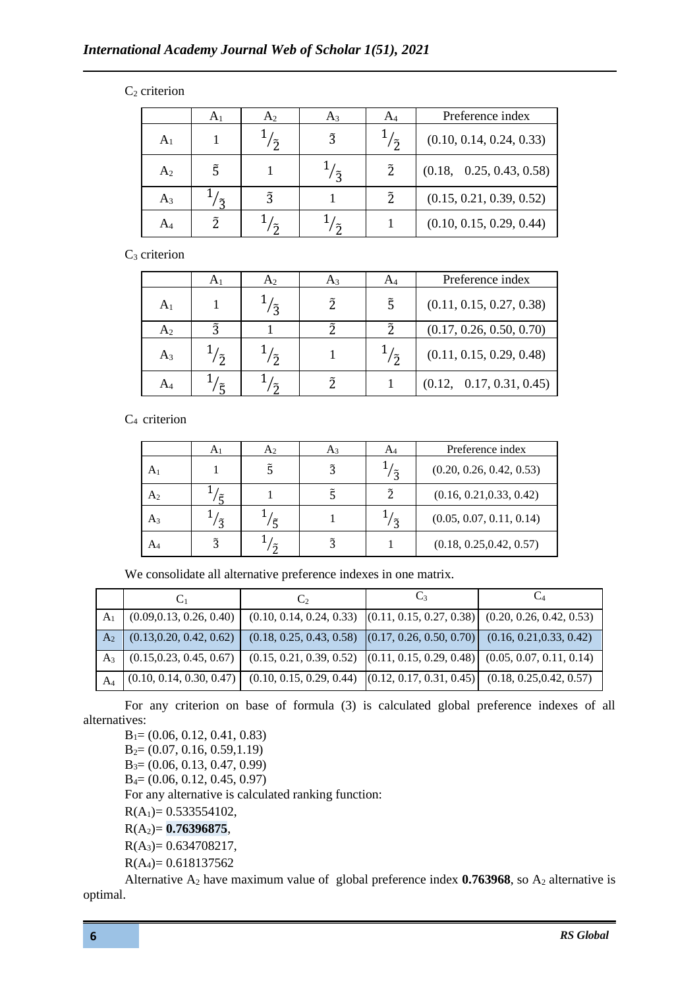## $C_2$  criterion

|                | A <sub>1</sub> | A <sub>2</sub> | $A_3$       | $A_4$                 | Preference index         |
|----------------|----------------|----------------|-------------|-----------------------|--------------------------|
| $\rm A_1$      |                | $\tilde{2}$    | $\tilde{3}$ | $\tilde{\mathcal{L}}$ | (0.10, 0.14, 0.24, 0.33) |
| A <sub>2</sub> |                |                | ゔ           | $\tilde{2}$           | (0.18, 0.25, 0.43, 0.58) |
| $A_3$          | ี่ก            | $\tilde{2}$    |             | ñ                     | (0.15, 0.21, 0.39, 0.52) |
| A4             |                | ์กั            |             |                       | (0.10, 0.15, 0.29, 0.44) |

C<sub>3</sub> criterion

|                | $A_1$ | A <sub>2</sub>        | $A_3$       |             | Preference index         |
|----------------|-------|-----------------------|-------------|-------------|--------------------------|
| A <sub>1</sub> |       | $\tilde{2}$           | $\tilde{2}$ | $\tilde{5}$ | (0.11, 0.15, 0.27, 0.38) |
| A <sub>2</sub> |       |                       |             |             | (0.17, 0.26, 0.50, 0.70) |
| $A_3$          | ิ์วั  | $\tilde{\mathcal{D}}$ |             | ' ~ັ        | (0.11, 0.15, 0.29, 0.48) |
|                |       |                       |             |             | (0.12, 0.17, 0.31, 0.45) |

 $C_4$  criterion

|                | A1          | A <sub>2</sub>        | A <sub>3</sub> | A4          | Preference index         |
|----------------|-------------|-----------------------|----------------|-------------|--------------------------|
| A <sub>1</sub> |             |                       | $\tilde{3}$    | $\tilde{2}$ | (0.20, 0.26, 0.42, 0.53) |
| A <sub>2</sub> |             |                       |                |             | (0.16, 0.21, 0.33, 0.42) |
| $A_3$          | $\tilde{2}$ |                       |                | ัร          | (0.05, 0.07, 0.11, 0.14) |
| A4             |             | $\tilde{\mathcal{L}}$ | ã              |             | (0.18, 0.25, 0.42, 0.57) |

We consolidate all alternative preference indexes in one matrix.

|                |                          | $\mathbf{C}$                                                                                                | C٩ |  |
|----------------|--------------------------|-------------------------------------------------------------------------------------------------------------|----|--|
|                | (0.09, 0.13, 0.26, 0.40) | $(0.10, 0.14, 0.24, 0.33)$ $(0.11, 0.15, 0.27, 0.38)$ $(0.20, 0.26, 0.42, 0.53)$                            |    |  |
| A <sub>2</sub> | (0.13, 0.20, 0.42, 0.62) | $(0.18, 0.25, 0.43, 0.58)$ $(0.17, 0.26, 0.50, 0.70)$ $(0.16, 0.21, 0.33, 0.42)$                            |    |  |
| A3             | (0.15, 0.23, 0.45, 0.67) | $(0.15, 0.21, 0.39, 0.52)$ $(0.11, 0.15, 0.29, 0.48)$ $(0.05, 0.07, 0.11, 0.14)$                            |    |  |
| $A_4$          |                          | $(0.10, 0.14, 0.30, 0.47)$ $(0.10, 0.15, 0.29, 0.44)$ $(0.12, 0.17, 0.31, 0.45)$ $(0.18, 0.25, 0.42, 0.57)$ |    |  |

For any criterion on base of formula (3) is calculated global preference indexes of all alternatives:

 $B_1=(0.06, 0.12, 0.41, 0.83)$ B2= (0.07, 0.16, 0.59,1.19) B3= (0.06, 0.13, 0.47, 0.99) B4= (0.06, 0.12, 0.45, 0.97) For any alternative is calculated ranking function:  $R(A_1)= 0.533554102,$ R(A2)= **0.76396875**,  $R(A_3)= 0.634708217,$  $R(A_4) = 0.618137562$ 

Alternative  $A_2$  have maximum value of global preference index **0.763968**, so  $A_2$  alternative is optimal.